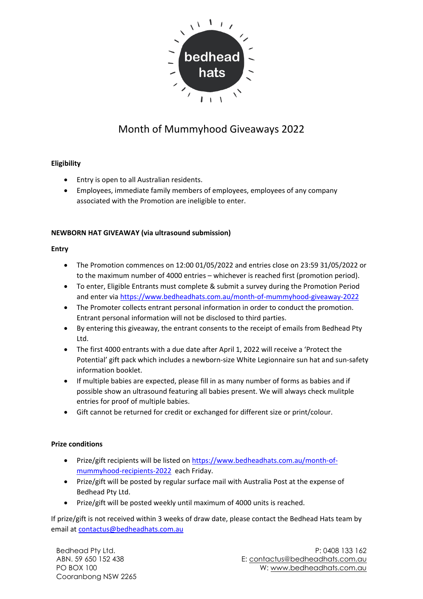

# Month of Mummyhood Giveaways 2022

## **Eligibility**

- Entry is open to all Australian residents.
- Employees, immediate family members of employees, employees of any company associated with the Promotion are ineligible to enter.

## **NEWBORN HAT GIVEAWAY (via ultrasound submission)**

#### **Entry**

- The Promotion commences on 12:00 01/05/2022 and entries close on 23:59 31/05/2022 or to the maximum number of 4000 entries – whichever is reached first (promotion period).
- To enter, Eligible Entrants must complete & submit a survey during the Promotion Period and enter via<https://www.bedheadhats.com.au/month-of-mummyhood-giveaway-2022>
- The Promoter collects entrant personal information in order to conduct the promotion. Entrant personal information will not be disclosed to third parties.
- By entering this giveaway, the entrant consents to the receipt of emails from Bedhead Pty Ltd.
- The first 4000 entrants with a due date after April 1, 2022 will receive a 'Protect the Potential' gift pack which includes a newborn-size White Legionnaire sun hat and sun-safety information booklet.
- If multiple babies are expected, please fill in as many number of forms as babies and if possible show an ultrasound featuring all babies present. We will always check mulitple entries for proof of multiple babies.
- Gift cannot be returned for credit or exchanged for different size or print/colour.

#### **Prize conditions**

- Prize/gift recipients will be listed on [https://www.bedheadhats.com.au/month-of](https://www.bedheadhats.com.au/month-of-mummyhood-recipients-20220)[mummyhood-recipients-2022](https://www.bedheadhats.com.au/month-of-mummyhood-recipients-20220) each Friday.
- Prize/gift will be posted by regular surface mail with Australia Post at the expense of Bedhead Pty Ltd.
- Prize/gift will be posted weekly until maximum of 4000 units is reached.

If prize/gift is not received within 3 weeks of draw date, please contact the Bedhead Hats team by email at [contactus@bedheadhats.com.au](mailto:contactus@bedheadhats.com.au)

Bedhead Pty Ltd. ABN. 59 650 152 438 PO BOX 100 Cooranbong NSW 2265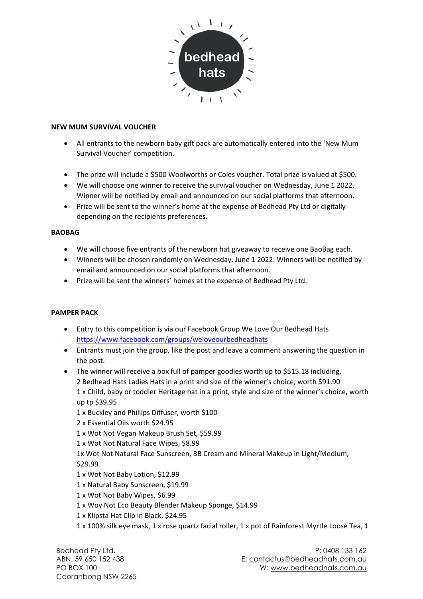

#### **NEW MUM SURVIVAL VOUCHER**

- All entrants to the newborn baby gift pack are automatically entered into the 'New Mum Survival Voucher' competition.
- The prize will include a \$500 Woolworths or Coles voucher. Total prize is valued at \$500.
- We will choose one winner to receive the survival voucher on Wednesday, June 1 2022. Winner will be notified by email and announced on our social platforms that afternoon.
- Prize will be sent to the winner's home at the expense of Bedhead Pty Ltd or digitally depending on the recipients preferences.

#### **BAOBAG**

- We will choose five entrants of the newborn hat giveaway to receive one BaoBag each.
- Winners will be chosen randomly on Wednesday, June 1 2022. Winners will be notified by email and announced on our social platforms that afternoon.
- Prize will be sent the winners' homes at the expense of Bedhead Pty Ltd.

#### **PAMPER PACK**

- Entry to this competition is via our Facebook Group We Love Our Bedhead Hats <https://www.facebook.com/groups/weloveourbedheadhats>
- Entrants must join the group, like the post and leave a comment answering the question in the post.
- The winner will receive a box full of pamper goodies worth up to \$515.18 including, 2 Bedhead Hats Ladies Hats in a print and size of the winner's choice, worth \$91.90 1 x Child, baby or toddler Heritage hat in a print, style and size of the winner's choice, worth up tp \$39.95
	- 1 x Buckley and Phillips Diffuser, worth \$100
	- 2 x Essential Oils worth \$24.95
	- 1 x Wot Not Vegan Makeup Brush Set, \$59.99
	- 1 x Wot Not Natural Face Wipes, \$8.99
	- 1x Wot Not Natural Face Sunscreen, BB Cream and Mineral Makeup in Light/Medium, \$29.99
	- 1 x Wot Not Baby Lotion, \$12.99
	- 1 x Natural Baby Sunscreen, \$19.99
	- 1 x Wot Not Baby Wipes, \$6.99
	- 1 x Woy Not Eco Beauty Blender Makeup Sponge, \$14.99
	- 1 x Klipsta Hat Clip in Black, \$24.95
	- 1 x 100% silk eye mask, 1 x rose quartz facial roller, 1 x pot of Rainforest Myrtle Loose Tea, 1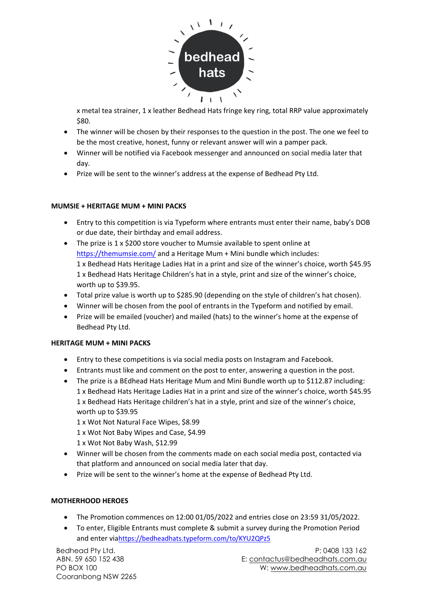

x metal tea strainer, 1 x leather Bedhead Hats fringe key ring, total RRP value approximately \$80.

- The winner will be chosen by their responses to the question in the post. The one we feel to be the most creative, honest, funny or relevant answer will win a pamper pack.
- Winner will be notified via Facebook messenger and announced on social media later that day.
- Prize will be sent to the winner's address at the expense of Bedhead Pty Ltd.

#### **MUMSIE + HERITAGE MUM + MINI PACKS**

- Entry to this competition is via Typeform where entrants must enter their name, baby's DOB or due date, their birthday and email address.
- The prize is 1 x \$200 store voucher to Mumsie available to spent online at <https://themumsie.com/> and a Heritage Mum + Mini bundle which includes: 1 x Bedhead Hats Heritage Ladies Hat in a print and size of the winner's choice, worth \$45.95 1 x Bedhead Hats Heritage Children's hat in a style, print and size of the winner's choice, worth up to \$39.95.
- Total prize value is worth up to \$285.90 (depending on the style of children's hat chosen).
- Winner will be chosen from the pool of entrants in the Typeform and notified by email.
- Prize will be emailed (voucher) and mailed (hats) to the winner's home at the expense of Bedhead Pty Ltd.

# **HERITAGE MUM + MINI PACKS**

- Entry to these competitions is via social media posts on Instagram and Facebook.
- Entrants must like and comment on the post to enter, answering a question in the post.
- The prize is a BEdhead Hats Heritage Mum and Mini Bundle worth up to \$112.87 including: 1 x Bedhead Hats Heritage Ladies Hat in a print and size of the winner's choice, worth \$45.95 1 x Bedhead Hats Heritage children's hat in a style, print and size of the winner's choice, worth up to \$39.95
	- 1 x Wot Not Natural Face Wipes, \$8.99
	- 1 x Wot Not Baby Wipes and Case, \$4.99
	- 1 x Wot Not Baby Wash, \$12.99
- Winner will be chosen from the comments made on each social media post, contacted via that platform and announced on social media later that day.
- Prize will be sent to the winner's home at the expense of Bedhead Pty Ltd.

# **MOTHERHOOD HEROES**

- The Promotion commences on 12:00 01/05/2022 and entries close on 23:59 31/05/2022.
- To enter, Eligible Entrants must complete & submit a survey during the Promotion Period and enter vi[ahttps://bedheadhats.typeform.com/to/KYU2QPz5](https://bedheadhats.typeform.com/to/KYU2QPz5)

Bedhead Pty Ltd. ABN. 59 650 152 438 PO BOX 100 Cooranbong NSW 2265